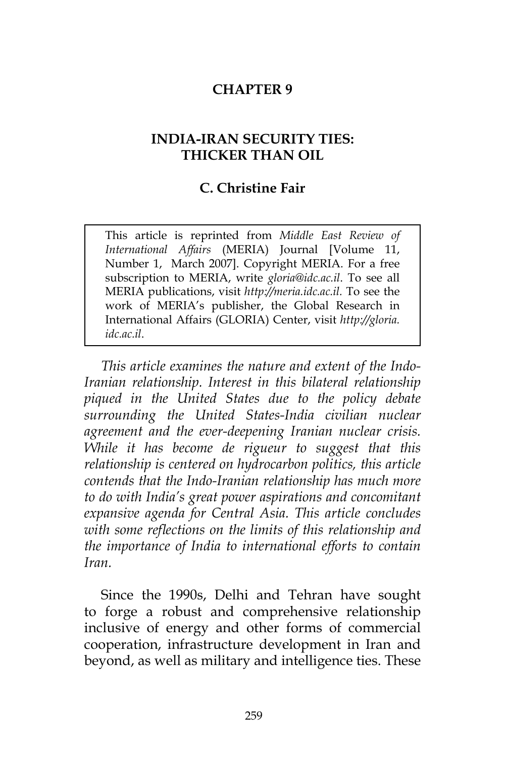## **CHAPTER 9**

#### **INDIA-IRAN SECURITY TIES: THICKER THAN OIL**

## **C. Christine Fair**

This article is reprinted from *Middle East Review of International Affairs* (MERIA) Journal [Volume 11, Number 1, March 2007]. Copyright MERIA. For a free subscription to MERIA, write *gloria@idc.ac.il*. To see all MERIA publications, visit *http://meria.idc.ac.il.* To see the work of MERIA's publisher, the Global Research in International Affairs (GLORIA) Center, visit *http://gloria. idc.ac.il*.

*This article examines the nature and extent of the Indo-Iranian relationship. Interest in this bilateral relationship piqued in the United States due to the policy debate surrounding the United States-India civilian nuclear agreement and the ever-deepening Iranian nuclear crisis. While it has become de rigueur to suggest that this relationship is centered on hydrocarbon politics, this article contends that the Indo-Iranian relationship has much more to do with India's great power aspirations and concomitant expansive agenda for Central Asia. This article concludes with some reflections on the limits of this relationship and the importance of India to international efforts to contain Iran.*

Since the 1990s, Delhi and Tehran have sought to forge a robust and comprehensive relationship inclusive of energy and other forms of commercial cooperation, infrastructure development in Iran and beyond, as well as military and intelligence ties. These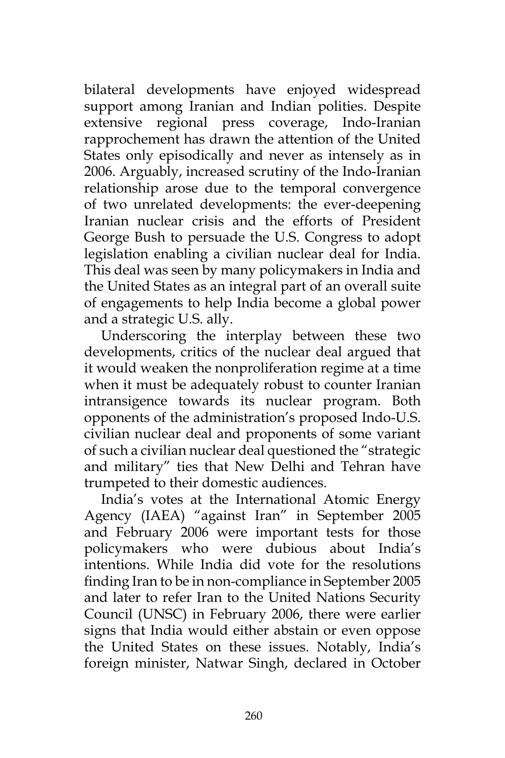bilateral developments have enjoyed widespread support among Iranian and Indian polities. Despite extensive regional press coverage, Indo-Iranian rapprochement has drawn the attention of the United States only episodically and never as intensely as in 2006. Arguably, increased scrutiny of the Indo-Iranian relationship arose due to the temporal convergence of two unrelated developments: the ever-deepening Iranian nuclear crisis and the efforts of President George Bush to persuade the U.S. Congress to adopt legislation enabling a civilian nuclear deal for India. This deal was seen by many policymakers in India and the United States as an integral part of an overall suite of engagements to help India become a global power and a strategic U.S. ally.

Underscoring the interplay between these two developments, critics of the nuclear deal argued that it would weaken the nonproliferation regime at a time when it must be adequately robust to counter Iranian intransigence towards its nuclear program. Both opponents of the administration's proposed Indo-U.S. civilian nuclear deal and proponents of some variant of such a civilian nuclear deal questioned the "strategic and military" ties that New Delhi and Tehran have trumpeted to their domestic audiences.

India's votes at the International Atomic Energy Agency (IAEA) "against Iran" in September 2005 and February 2006 were important tests for those policymakers who were dubious about India's intentions. While India did vote for the resolutions finding Iran to be in non-compliance in September 2005 and later to refer Iran to the United Nations Security Council (UNSC) in February 2006, there were earlier signs that India would either abstain or even oppose the United States on these issues. Notably, India's foreign minister, Natwar Singh, declared in October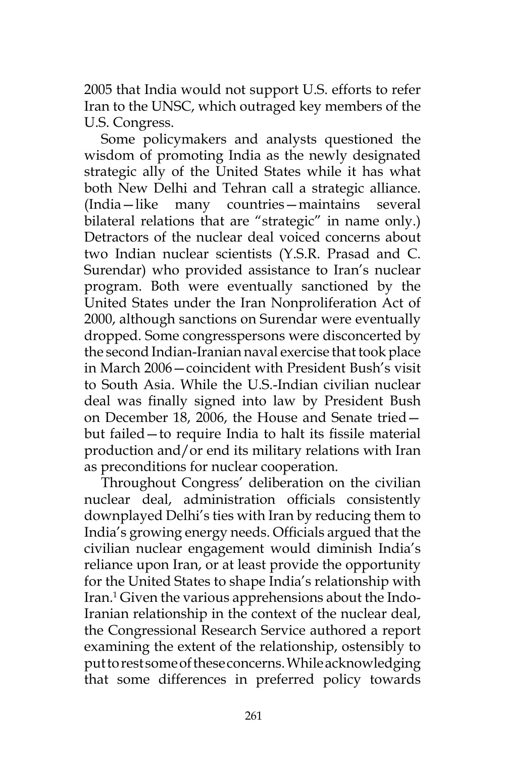2005 that India would not support U.S. efforts to refer Iran to the UNSC, which outraged key members of the U.S. Congress.

Some policymakers and analysts questioned the wisdom of promoting India as the newly designated strategic ally of the United States while it has what both New Delhi and Tehran call a strategic alliance. (India—like many countries—maintains several bilateral relations that are "strategic" in name only.) Detractors of the nuclear deal voiced concerns about two Indian nuclear scientists (Y.S.R. Prasad and C. Surendar) who provided assistance to Iran's nuclear program. Both were eventually sanctioned by the United States under the Iran Nonproliferation Act of 2000, although sanctions on Surendar were eventually dropped. Some congresspersons were disconcerted by the second Indian-Iranian naval exercise that took place in March 2006—coincident with President Bush's visit to South Asia. While the U.S.-Indian civilian nuclear deal was finally signed into law by President Bush on December 18, 2006, the House and Senate tried but failed—to require India to halt its fissile material production and/or end its military relations with Iran as preconditions for nuclear cooperation.

Throughout Congress' deliberation on the civilian nuclear deal, administration officials consistently downplayed Delhi's ties with Iran by reducing them to India's growing energy needs. Officials argued that the civilian nuclear engagement would diminish India's reliance upon Iran, or at least provide the opportunity for the United States to shape India's relationship with Iran.<sup>1</sup> Given the various apprehensions about the Indo-Iranian relationship in the context of the nuclear deal, the Congressional Research Service authored a report examining the extent of the relationship, ostensibly to put to rest some of these concerns. While acknowledging that some differences in preferred policy towards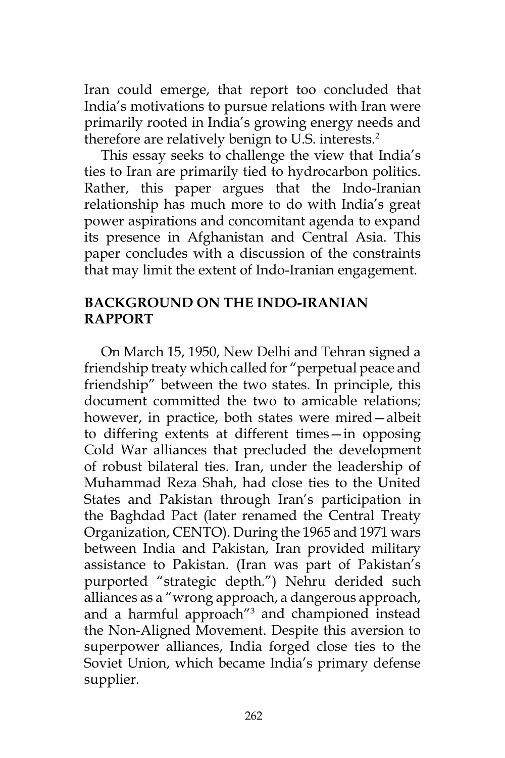Iran could emerge, that report too concluded that India's motivations to pursue relations with Iran were primarily rooted in India's growing energy needs and therefore are relatively benign to U.S. interests.<sup>2</sup>

This essay seeks to challenge the view that India's ties to Iran are primarily tied to hydrocarbon politics. Rather, this paper argues that the Indo-Iranian relationship has much more to do with India's great power aspirations and concomitant agenda to expand its presence in Afghanistan and Central Asia. This paper concludes with a discussion of the constraints that may limit the extent of Indo-Iranian engagement.

# **BACKGROUND ON THE INDO-IRANIAN RAPPORT**

On March 15, 1950, New Delhi and Tehran signed a friendship treaty which called for "perpetual peace and friendship" between the two states. In principle, this document committed the two to amicable relations; however, in practice, both states were mired—albeit to differing extents at different times—in opposing Cold War alliances that precluded the development of robust bilateral ties. Iran, under the leadership of Muhammad Reza Shah, had close ties to the United States and Pakistan through Iran's participation in the Baghdad Pact (later renamed the Central Treaty Organization, CENTO). During the 1965 and 1971 wars between India and Pakistan, Iran provided military assistance to Pakistan. (Iran was part of Pakistan's purported "strategic depth.") Nehru derided such alliances as a "wrong approach, a dangerous approach, and a harmful approach"3 and championed instead the Non-Aligned Movement. Despite this aversion to superpower alliances, India forged close ties to the Soviet Union, which became India's primary defense supplier.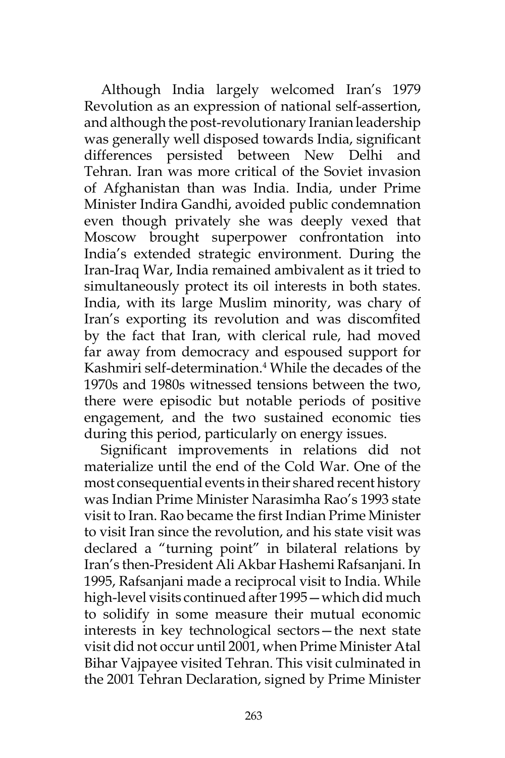Although India largely welcomed Iran's 1979 Revolution as an expression of national self-assertion, and although the post-revolutionary Iranian leadership was generally well disposed towards India, significant differences persisted between New Delhi and Tehran. Iran was more critical of the Soviet invasion of Afghanistan than was India. India, under Prime Minister Indira Gandhi, avoided public condemnation even though privately she was deeply vexed that Moscow brought superpower confrontation into India's extended strategic environment. During the Iran-Iraq War, India remained ambivalent as it tried to simultaneously protect its oil interests in both states. India, with its large Muslim minority, was chary of Iran's exporting its revolution and was discomfited by the fact that Iran, with clerical rule, had moved far away from democracy and espoused support for Kashmiri self-determination.4 While the decades of the 1970s and 1980s witnessed tensions between the two, there were episodic but notable periods of positive engagement, and the two sustained economic ties during this period, particularly on energy issues.

Significant improvements in relations did not materialize until the end of the Cold War. One of the most consequential events in their shared recent history was Indian Prime Minister Narasimha Rao's 1993 state visit to Iran. Rao became the first Indian Prime Minister to visit Iran since the revolution, and his state visit was declared a "turning point" in bilateral relations by Iran's then-President Ali Akbar Hashemi Rafsanjani. In 1995, Rafsanjani made a reciprocal visit to India. While high-level visits continued after 1995—which did much to solidify in some measure their mutual economic interests in key technological sectors—the next state visit did not occur until 2001, when Prime Minister Atal Bihar Vajpayee visited Tehran. This visit culminated in the 2001 Tehran Declaration, signed by Prime Minister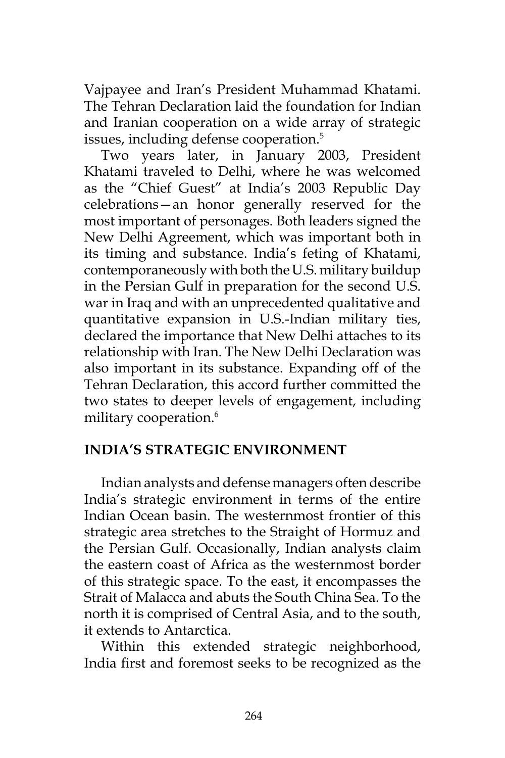Vajpayee and Iran's President Muhammad Khatami. The Tehran Declaration laid the foundation for Indian and Iranian cooperation on a wide array of strategic issues, including defense cooperation.<sup>5</sup>

Two years later, in January 2003, President Khatami traveled to Delhi, where he was welcomed as the "Chief Guest" at India's 2003 Republic Day celebrations—an honor generally reserved for the most important of personages. Both leaders signed the New Delhi Agreement, which was important both in its timing and substance. India's feting of Khatami, contemporaneously with both the U.S. military buildup in the Persian Gulf in preparation for the second U.S. war in Iraq and with an unprecedented qualitative and quantitative expansion in U.S.-Indian military ties, declared the importance that New Delhi attaches to its relationship with Iran. The New Delhi Declaration was also important in its substance. Expanding off of the Tehran Declaration, this accord further committed the two states to deeper levels of engagement, including military cooperation.<sup>6</sup>

#### **INDIA'S STRATEGIC ENVIRONMENT**

Indian analysts and defense managers often describe India's strategic environment in terms of the entire Indian Ocean basin. The westernmost frontier of this strategic area stretches to the Straight of Hormuz and the Persian Gulf. Occasionally, Indian analysts claim the eastern coast of Africa as the westernmost border of this strategic space. To the east, it encompasses the Strait of Malacca and abuts the South China Sea. To the north it is comprised of Central Asia, and to the south, it extends to Antarctica.

Within this extended strategic neighborhood, India first and foremost seeks to be recognized as the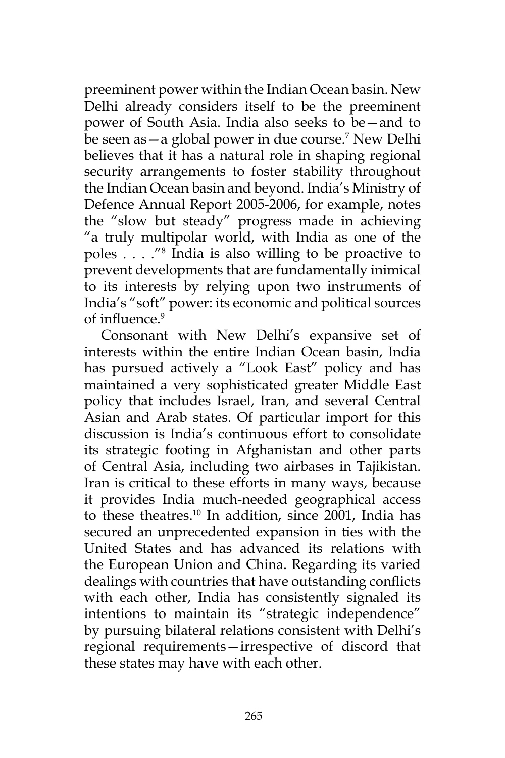preeminent power within the Indian Ocean basin. New Delhi already considers itself to be the preeminent power of South Asia. India also seeks to be—and to be seen as—a global power in due course.7 New Delhi believes that it has a natural role in shaping regional security arrangements to foster stability throughout the Indian Ocean basin and beyond. India's Ministry of Defence Annual Report 2005-2006, for example, notes the "slow but steady" progress made in achieving "a truly multipolar world, with India as one of the poles . . . ."8 India is also willing to be proactive to prevent developments that are fundamentally inimical to its interests by relying upon two instruments of India's "soft" power: its economic and political sources of influence.<sup>9</sup>

Consonant with New Delhi's expansive set of interests within the entire Indian Ocean basin, India has pursued actively a "Look East" policy and has maintained a very sophisticated greater Middle East policy that includes Israel, Iran, and several Central Asian and Arab states. Of particular import for this discussion is India's continuous effort to consolidate its strategic footing in Afghanistan and other parts of Central Asia, including two airbases in Tajikistan. Iran is critical to these efforts in many ways, because it provides India much-needed geographical access to these theatres.10 In addition, since 2001, India has secured an unprecedented expansion in ties with the United States and has advanced its relations with the European Union and China. Regarding its varied dealings with countries that have outstanding conflicts with each other, India has consistently signaled its intentions to maintain its "strategic independence" by pursuing bilateral relations consistent with Delhi's regional requirements—irrespective of discord that these states may have with each other.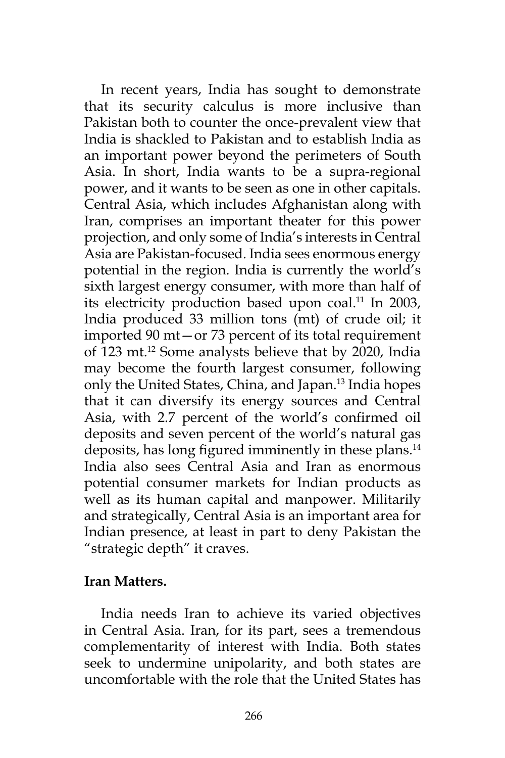In recent years, India has sought to demonstrate that its security calculus is more inclusive than Pakistan both to counter the once-prevalent view that India is shackled to Pakistan and to establish India as an important power beyond the perimeters of South Asia. In short, India wants to be a supra-regional power, and it wants to be seen as one in other capitals. Central Asia, which includes Afghanistan along with Iran, comprises an important theater for this power projection, and only some of India's interests in Central Asia are Pakistan-focused. India sees enormous energy potential in the region. India is currently the world's sixth largest energy consumer, with more than half of its electricity production based upon coal.<sup>11</sup> In 2003, India produced 33 million tons (mt) of crude oil; it imported 90 mt—or 73 percent of its total requirement of 123 mt.12 Some analysts believe that by 2020, India may become the fourth largest consumer, following only the United States, China, and Japan.13 India hopes that it can diversify its energy sources and Central Asia, with 2.7 percent of the world's confirmed oil deposits and seven percent of the world's natural gas deposits, has long figured imminently in these plans.<sup>14</sup> India also sees Central Asia and Iran as enormous potential consumer markets for Indian products as well as its human capital and manpower. Militarily and strategically, Central Asia is an important area for Indian presence, at least in part to deny Pakistan the "strategic depth" it craves.

#### **Iran Matters.**

India needs Iran to achieve its varied objectives in Central Asia. Iran, for its part, sees a tremendous complementarity of interest with India. Both states seek to undermine unipolarity, and both states are uncomfortable with the role that the United States has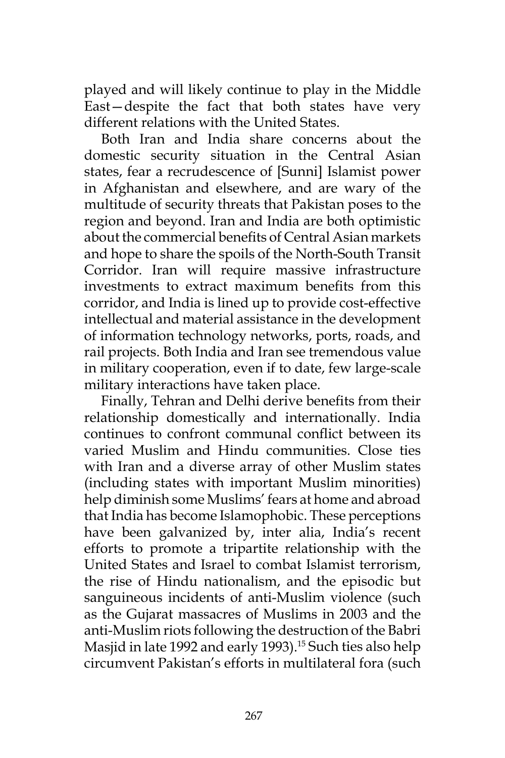played and will likely continue to play in the Middle East—despite the fact that both states have very different relations with the United States.

Both Iran and India share concerns about the domestic security situation in the Central Asian states, fear a recrudescence of [Sunni] Islamist power in Afghanistan and elsewhere, and are wary of the multitude of security threats that Pakistan poses to the region and beyond. Iran and India are both optimistic about the commercial benefits of Central Asian markets and hope to share the spoils of the North-South Transit Corridor. Iran will require massive infrastructure investments to extract maximum benefits from this corridor, and India is lined up to provide cost-effective intellectual and material assistance in the development of information technology networks, ports, roads, and rail projects. Both India and Iran see tremendous value in military cooperation, even if to date, few large-scale military interactions have taken place.

Finally, Tehran and Delhi derive benefits from their relationship domestically and internationally. India continues to confront communal conflict between its varied Muslim and Hindu communities. Close ties with Iran and a diverse array of other Muslim states (including states with important Muslim minorities) help diminish some Muslims' fears at home and abroad that India has become Islamophobic. These perceptions have been galvanized by, inter alia, India's recent efforts to promote a tripartite relationship with the United States and Israel to combat Islamist terrorism, the rise of Hindu nationalism, and the episodic but sanguineous incidents of anti-Muslim violence (such as the Gujarat massacres of Muslims in 2003 and the anti-Muslim riots following the destruction of the Babri Masjid in late 1992 and early 1993).<sup>15</sup> Such ties also help circumvent Pakistan's efforts in multilateral fora (such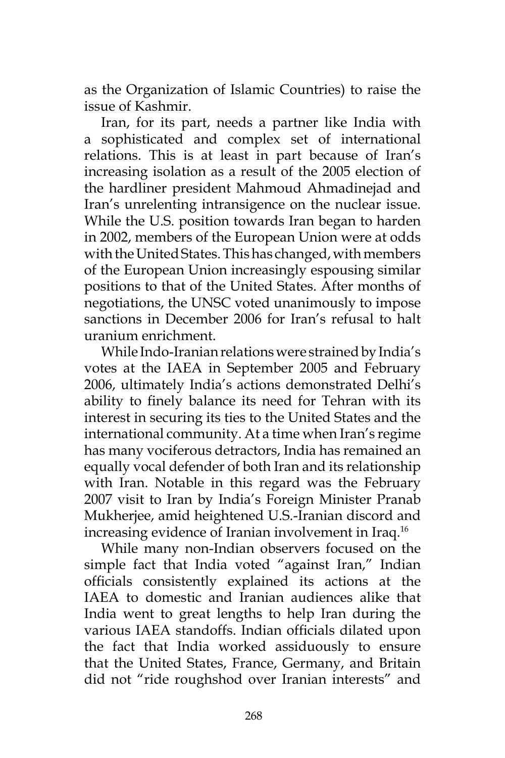as the Organization of Islamic Countries) to raise the issue of Kashmir.

Iran, for its part, needs a partner like India with a sophisticated and complex set of international relations. This is at least in part because of Iran's increasing isolation as a result of the 2005 election of the hardliner president Mahmoud Ahmadinejad and Iran's unrelenting intransigence on the nuclear issue. While the U.S. position towards Iran began to harden in 2002, members of the European Union were at odds with the United States. This has changed, with members of the European Union increasingly espousing similar positions to that of the United States. After months of negotiations, the UNSC voted unanimously to impose sanctions in December 2006 for Iran's refusal to halt uranium enrichment.

While Indo-Iranian relations were strained by India's votes at the IAEA in September 2005 and February 2006, ultimately India's actions demonstrated Delhi's ability to finely balance its need for Tehran with its interest in securing its ties to the United States and the international community. At a time when Iran's regime has many vociferous detractors, India has remained an equally vocal defender of both Iran and its relationship with Iran. Notable in this regard was the February 2007 visit to Iran by India's Foreign Minister Pranab Mukherjee, amid heightened U.S.-Iranian discord and increasing evidence of Iranian involvement in Iraq.16

While many non-Indian observers focused on the simple fact that India voted "against Iran," Indian officials consistently explained its actions at the IAEA to domestic and Iranian audiences alike that India went to great lengths to help Iran during the various IAEA standoffs. Indian officials dilated upon the fact that India worked assiduously to ensure that the United States, France, Germany, and Britain did not "ride roughshod over Iranian interests" and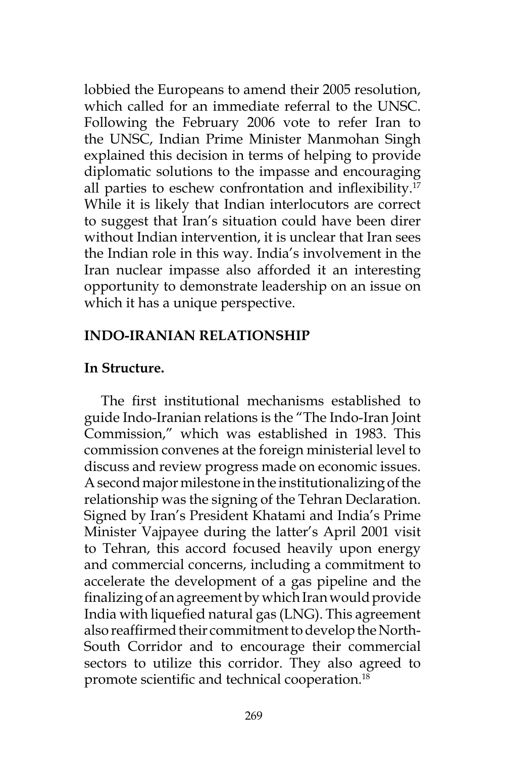lobbied the Europeans to amend their 2005 resolution, which called for an immediate referral to the UNSC. Following the February 2006 vote to refer Iran to the UNSC, Indian Prime Minister Manmohan Singh explained this decision in terms of helping to provide diplomatic solutions to the impasse and encouraging all parties to eschew confrontation and inflexibility.<sup>17</sup> While it is likely that Indian interlocutors are correct to suggest that Iran's situation could have been direr without Indian intervention, it is unclear that Iran sees the Indian role in this way. India's involvement in the Iran nuclear impasse also afforded it an interesting opportunity to demonstrate leadership on an issue on which it has a unique perspective.

# **INDO-IRANIAN RELATIONSHIP**

# **In Structure.**

The first institutional mechanisms established to guide Indo-Iranian relations is the "The Indo-Iran Joint Commission," which was established in 1983. This commission convenes at the foreign ministerial level to discuss and review progress made on economic issues. A second major milestone in the institutionalizing of the relationship was the signing of the Tehran Declaration. Signed by Iran's President Khatami and India's Prime Minister Vajpayee during the latter's April 2001 visit to Tehran, this accord focused heavily upon energy and commercial concerns, including a commitment to accelerate the development of a gas pipeline and the finalizing of an agreement by which Iran would provide India with liquefied natural gas (LNG). This agreement also reaffirmed their commitment to develop the North-South Corridor and to encourage their commercial sectors to utilize this corridor. They also agreed to promote scientific and technical cooperation.18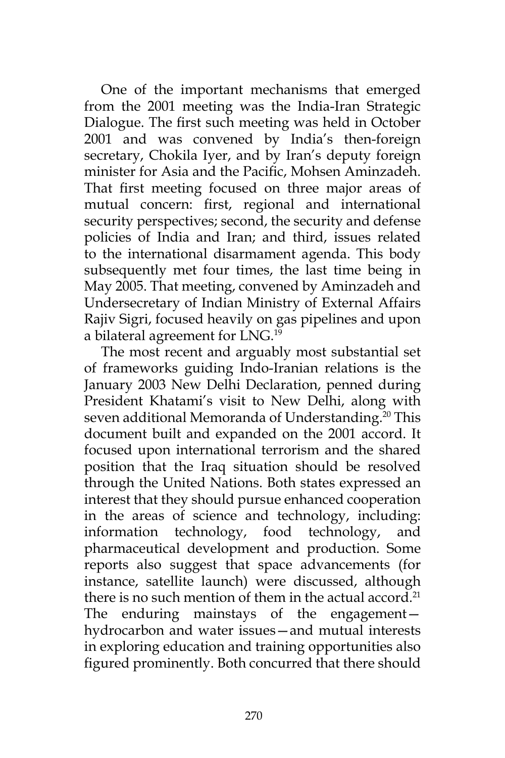One of the important mechanisms that emerged from the 2001 meeting was the India-Iran Strategic Dialogue. The first such meeting was held in October 2001 and was convened by India's then-foreign secretary, Chokila Iyer, and by Iran's deputy foreign minister for Asia and the Pacific, Mohsen Aminzadeh. That first meeting focused on three major areas of mutual concern: first, regional and international security perspectives; second, the security and defense policies of India and Iran; and third, issues related to the international disarmament agenda. This body subsequently met four times, the last time being in May 2005. That meeting, convened by Aminzadeh and Undersecretary of Indian Ministry of External Affairs Rajiv Sigri, focused heavily on gas pipelines and upon a bilateral agreement for LNG.<sup>19</sup>

The most recent and arguably most substantial set of frameworks guiding Indo-Iranian relations is the January 2003 New Delhi Declaration, penned during President Khatami's visit to New Delhi, along with seven additional Memoranda of Understanding.<sup>20</sup> This document built and expanded on the 2001 accord. It focused upon international terrorism and the shared position that the Iraq situation should be resolved through the United Nations. Both states expressed an interest that they should pursue enhanced cooperation in the areas of science and technology, including: information technology, food technology, and pharmaceutical development and production. Some reports also suggest that space advancements (for instance, satellite launch) were discussed, although there is no such mention of them in the actual accord.<sup>21</sup> The enduring mainstays of the engagementhydrocarbon and water issues—and mutual interests in exploring education and training opportunities also figured prominently. Both concurred that there should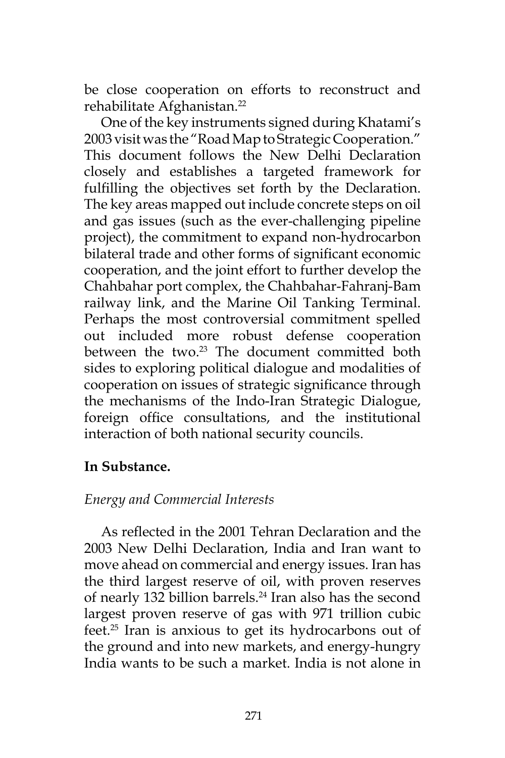be close cooperation on efforts to reconstruct and rehabilitate Afghanistan.<sup>22</sup>

One of the key instruments signed during Khatami's 2003 visit was the "Road Map to Strategic Cooperation." This document follows the New Delhi Declaration closely and establishes a targeted framework for fulfilling the objectives set forth by the Declaration. The key areas mapped out include concrete steps on oil and gas issues (such as the ever-challenging pipeline project), the commitment to expand non-hydrocarbon bilateral trade and other forms of significant economic cooperation, and the joint effort to further develop the Chahbahar port complex, the Chahbahar-Fahranj-Bam railway link, and the Marine Oil Tanking Terminal. Perhaps the most controversial commitment spelled out included more robust defense cooperation between the two.<sup>23</sup> The document committed both sides to exploring political dialogue and modalities of cooperation on issues of strategic significance through the mechanisms of the Indo-Iran Strategic Dialogue, foreign office consultations, and the institutional interaction of both national security councils.

### **In Substance.**

### *Energy and Commercial Interests*

As reflected in the 2001 Tehran Declaration and the 2003 New Delhi Declaration, India and Iran want to move ahead on commercial and energy issues. Iran has the third largest reserve of oil, with proven reserves of nearly 132 billion barrels.<sup>24</sup> Iran also has the second largest proven reserve of gas with 971 trillion cubic feet.25 Iran is anxious to get its hydrocarbons out of the ground and into new markets, and energy-hungry India wants to be such a market. India is not alone in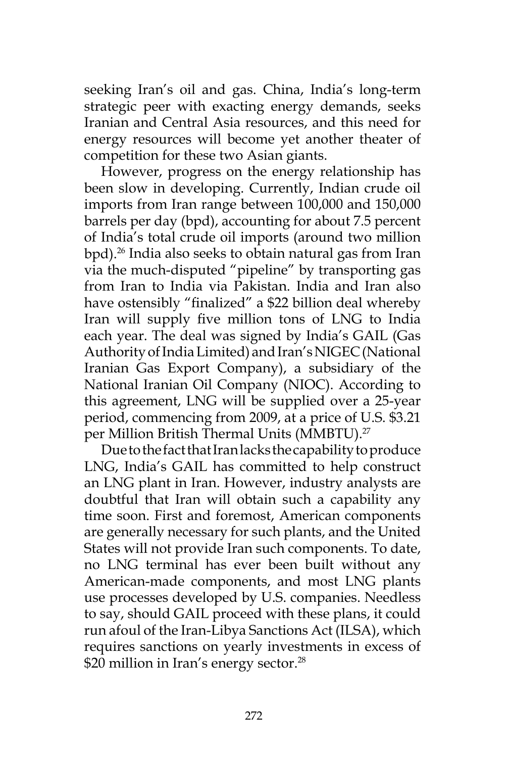seeking Iran's oil and gas. China, India's long-term strategic peer with exacting energy demands, seeks Iranian and Central Asia resources, and this need for energy resources will become yet another theater of competition for these two Asian giants.

However, progress on the energy relationship has been slow in developing. Currently, Indian crude oil imports from Iran range between 100,000 and 150,000 barrels per day (bpd), accounting for about 7.5 percent of India's total crude oil imports (around two million bpd).26 India also seeks to obtain natural gas from Iran via the much-disputed "pipeline" by transporting gas from Iran to India via Pakistan. India and Iran also have ostensibly "finalized" a \$22 billion deal whereby Iran will supply five million tons of LNG to India each year. The deal was signed by India's GAIL (Gas Authority of India Limited) and Iran's NIGEC (National Iranian Gas Export Company), a subsidiary of the National Iranian Oil Company (NIOC). According to this agreement, LNG will be supplied over a 25-year period, commencing from 2009, at a price of U.S. \$3.21 per Million British Thermal Units (MMBTU).<sup>27</sup>

Due to the fact that Iran lacks the capability to produce LNG, India's GAIL has committed to help construct an LNG plant in Iran. However, industry analysts are doubtful that Iran will obtain such a capability any time soon. First and foremost, American components are generally necessary for such plants, and the United States will not provide Iran such components. To date, no LNG terminal has ever been built without any American-made components, and most LNG plants use processes developed by U.S. companies. Needless to say, should GAIL proceed with these plans, it could run afoul of the Iran-Libya Sanctions Act (ILSA), which requires sanctions on yearly investments in excess of \$20 million in Iran's energy sector.<sup>28</sup>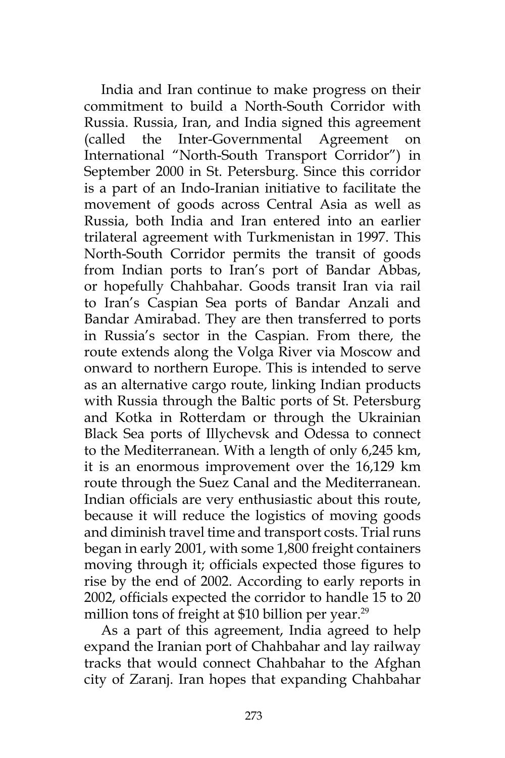India and Iran continue to make progress on their commitment to build a North-South Corridor with Russia. Russia, Iran, and India signed this agreement (called the Inter-Governmental Agreement on International "North-South Transport Corridor") in September 2000 in St. Petersburg. Since this corridor is a part of an Indo-Iranian initiative to facilitate the movement of goods across Central Asia as well as Russia, both India and Iran entered into an earlier trilateral agreement with Turkmenistan in 1997. This North-South Corridor permits the transit of goods from Indian ports to Iran's port of Bandar Abbas, or hopefully Chahbahar. Goods transit Iran via rail to Iran's Caspian Sea ports of Bandar Anzali and Bandar Amirabad. They are then transferred to ports in Russia's sector in the Caspian. From there, the route extends along the Volga River via Moscow and onward to northern Europe. This is intended to serve as an alternative cargo route, linking Indian products with Russia through the Baltic ports of St. Petersburg and Kotka in Rotterdam or through the Ukrainian Black Sea ports of Illychevsk and Odessa to connect to the Mediterranean. With a length of only 6,245 km, it is an enormous improvement over the 16,129 km route through the Suez Canal and the Mediterranean. Indian officials are very enthusiastic about this route, because it will reduce the logistics of moving goods and diminish travel time and transport costs. Trial runs began in early 2001, with some 1,800 freight containers moving through it; officials expected those figures to rise by the end of 2002. According to early reports in 2002, officials expected the corridor to handle 15 to 20 million tons of freight at \$10 billion per year.<sup>29</sup>

As a part of this agreement, India agreed to help expand the Iranian port of Chahbahar and lay railway tracks that would connect Chahbahar to the Afghan city of Zaranj. Iran hopes that expanding Chahbahar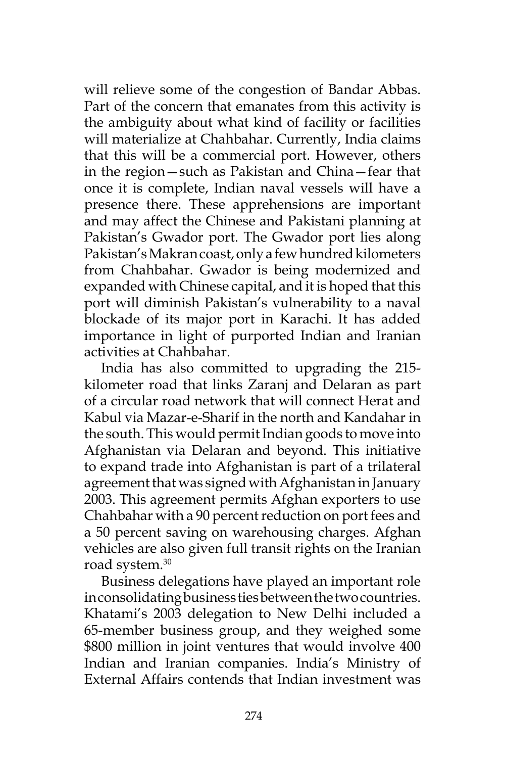will relieve some of the congestion of Bandar Abbas. Part of the concern that emanates from this activity is the ambiguity about what kind of facility or facilities will materialize at Chahbahar. Currently, India claims that this will be a commercial port. However, others in the region—such as Pakistan and China—fear that once it is complete, Indian naval vessels will have a presence there. These apprehensions are important and may affect the Chinese and Pakistani planning at Pakistan's Gwador port. The Gwador port lies along Pakistan's Makran coast, only a few hundred kilometers from Chahbahar. Gwador is being modernized and expanded with Chinese capital, and it is hoped that this port will diminish Pakistan's vulnerability to a naval blockade of its major port in Karachi. It has added importance in light of purported Indian and Iranian activities at Chahbahar.

India has also committed to upgrading the 215 kilometer road that links Zaranj and Delaran as part of a circular road network that will connect Herat and Kabul via Mazar-e-Sharif in the north and Kandahar in the south. This would permit Indian goods to move into Afghanistan via Delaran and beyond. This initiative to expand trade into Afghanistan is part of a trilateral agreement that was signed with Afghanistan in January 2003. This agreement permits Afghan exporters to use Chahbahar with a 90 percent reduction on port fees and a 50 percent saving on warehousing charges. Afghan vehicles are also given full transit rights on the Iranian road system.<sup>30</sup>

Business delegations have played an important role in consolidating business ties between the two countries. Khatami's 2003 delegation to New Delhi included a 65-member business group, and they weighed some \$800 million in joint ventures that would involve 400 Indian and Iranian companies. India's Ministry of External Affairs contends that Indian investment was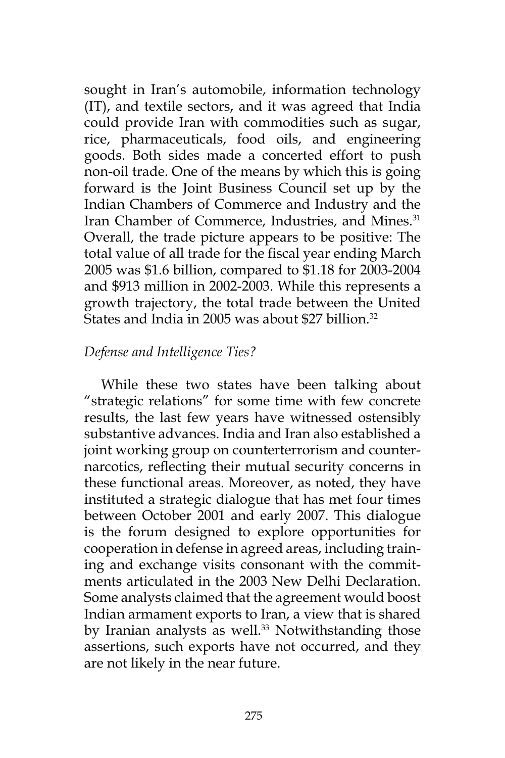sought in Iran's automobile, information technology (IT), and textile sectors, and it was agreed that India could provide Iran with commodities such as sugar, rice, pharmaceuticals, food oils, and engineering goods. Both sides made a concerted effort to push non-oil trade. One of the means by which this is going forward is the Joint Business Council set up by the Indian Chambers of Commerce and Industry and the Iran Chamber of Commerce, Industries, and Mines.<sup>31</sup> Overall, the trade picture appears to be positive: The total value of all trade for the fiscal year ending March 2005 was \$1.6 billion, compared to \$1.18 for 2003-2004 and \$913 million in 2002-2003. While this represents a growth trajectory, the total trade between the United States and India in 2005 was about \$27 billion.<sup>32</sup>

### *Defense and Intelligence Ties?*

While these two states have been talking about "strategic relations" for some time with few concrete results, the last few years have witnessed ostensibly substantive advances. India and Iran also established a joint working group on counterterrorism and counternarcotics, reflecting their mutual security concerns in these functional areas. Moreover, as noted, they have instituted a strategic dialogue that has met four times between October 2001 and early 2007. This dialogue is the forum designed to explore opportunities for cooperation in defense in agreed areas, including training and exchange visits consonant with the commitments articulated in the 2003 New Delhi Declaration. Some analysts claimed that the agreement would boost Indian armament exports to Iran, a view that is shared by Iranian analysts as well.<sup>33</sup> Notwithstanding those assertions, such exports have not occurred, and they are not likely in the near future.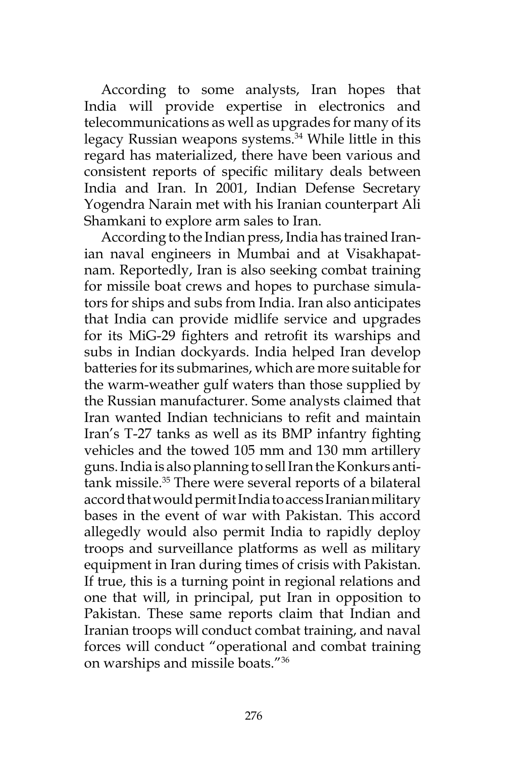According to some analysts, Iran hopes that India will provide expertise in electronics and telecommunications as well as upgrades for many of its legacy Russian weapons systems.34 While little in this regard has materialized, there have been various and consistent reports of specific military deals between India and Iran. In 2001, Indian Defense Secretary Yogendra Narain met with his Iranian counterpart Ali Shamkani to explore arm sales to Iran.

According to the Indian press, India has trained Iranian naval engineers in Mumbai and at Visakhapatnam. Reportedly, Iran is also seeking combat training for missile boat crews and hopes to purchase simulators for ships and subs from India. Iran also anticipates that India can provide midlife service and upgrades for its MiG-29 fighters and retrofit its warships and subs in Indian dockyards. India helped Iran develop batteries for its submarines, which are more suitable for the warm-weather gulf waters than those supplied by the Russian manufacturer. Some analysts claimed that Iran wanted Indian technicians to refit and maintain Iran's T-27 tanks as well as its BMP infantry fighting vehicles and the towed 105 mm and 130 mm artillery guns. India is also planning to sell Iran the Konkurs antitank missile.35 There were several reports of a bilateral accord that would permit India to access Iranian military bases in the event of war with Pakistan. This accord allegedly would also permit India to rapidly deploy troops and surveillance platforms as well as military equipment in Iran during times of crisis with Pakistan. If true, this is a turning point in regional relations and one that will, in principal, put Iran in opposition to Pakistan. These same reports claim that Indian and Iranian troops will conduct combat training, and naval forces will conduct "operational and combat training on warships and missile boats."36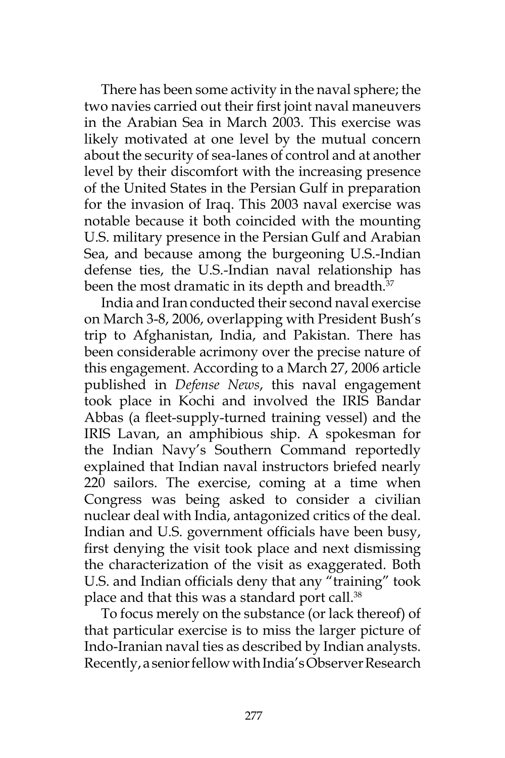There has been some activity in the naval sphere; the two navies carried out their first joint naval maneuvers in the Arabian Sea in March 2003. This exercise was likely motivated at one level by the mutual concern about the security of sea-lanes of control and at another level by their discomfort with the increasing presence of the United States in the Persian Gulf in preparation for the invasion of Iraq. This 2003 naval exercise was notable because it both coincided with the mounting U.S. military presence in the Persian Gulf and Arabian Sea, and because among the burgeoning U.S.-Indian defense ties, the U.S.-Indian naval relationship has been the most dramatic in its depth and breadth.<sup>37</sup>

India and Iran conducted their second naval exercise on March 3-8, 2006, overlapping with President Bush's trip to Afghanistan, India, and Pakistan. There has been considerable acrimony over the precise nature of this engagement. According to a March 27, 2006 article published in *Defense News*, this naval engagement took place in Kochi and involved the IRIS Bandar Abbas (a fleet-supply-turned training vessel) and the IRIS Lavan, an amphibious ship. A spokesman for the Indian Navy's Southern Command reportedly explained that Indian naval instructors briefed nearly 220 sailors. The exercise, coming at a time when Congress was being asked to consider a civilian nuclear deal with India, antagonized critics of the deal. Indian and U.S. government officials have been busy, first denying the visit took place and next dismissing the characterization of the visit as exaggerated. Both U.S. and Indian officials deny that any "training" took place and that this was a standard port call.<sup>38</sup>

To focus merely on the substance (or lack thereof) of that particular exercise is to miss the larger picture of Indo-Iranian naval ties as described by Indian analysts. Recently, a senior fellow with India's Observer Research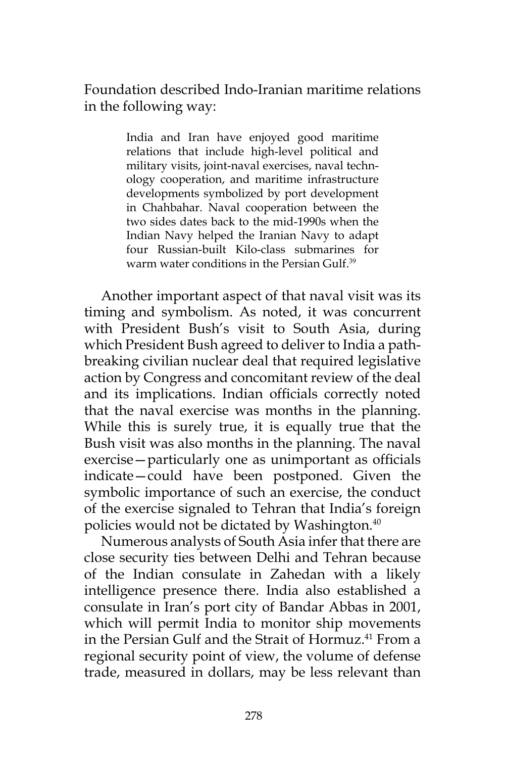Foundation described Indo-Iranian maritime relations in the following way:

> India and Iran have enjoyed good maritime relations that include high-level political and military visits, joint-naval exercises, naval technology cooperation, and maritime infrastructure developments symbolized by port development in Chahbahar. Naval cooperation between the two sides dates back to the mid-1990s when the Indian Navy helped the Iranian Navy to adapt four Russian-built Kilo-class submarines for warm water conditions in the Persian Gulf.<sup>39</sup>

Another important aspect of that naval visit was its timing and symbolism. As noted, it was concurrent with President Bush's visit to South Asia, during which President Bush agreed to deliver to India a pathbreaking civilian nuclear deal that required legislative action by Congress and concomitant review of the deal and its implications. Indian officials correctly noted that the naval exercise was months in the planning. While this is surely true, it is equally true that the Bush visit was also months in the planning. The naval exercise—particularly one as unimportant as officials indicate—could have been postponed. Given the symbolic importance of such an exercise, the conduct of the exercise signaled to Tehran that India's foreign policies would not be dictated by Washington.<sup>40</sup>

Numerous analysts of South Asia infer that there are close security ties between Delhi and Tehran because of the Indian consulate in Zahedan with a likely intelligence presence there. India also established a consulate in Iran's port city of Bandar Abbas in 2001, which will permit India to monitor ship movements in the Persian Gulf and the Strait of Hormuz.<sup>41</sup> From a regional security point of view, the volume of defense trade, measured in dollars, may be less relevant than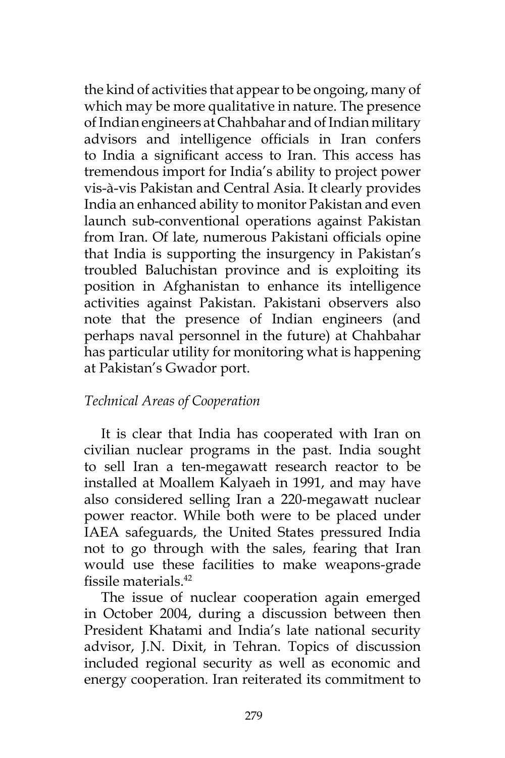the kind of activities that appear to be ongoing, many of which may be more qualitative in nature. The presence of Indian engineers at Chahbahar and of Indian military advisors and intelligence officials in Iran confers to India a significant access to Iran. This access has tremendous import for India's ability to project power vis-à-vis Pakistan and Central Asia. It clearly provides India an enhanced ability to monitor Pakistan and even launch sub-conventional operations against Pakistan from Iran. Of late, numerous Pakistani officials opine that India is supporting the insurgency in Pakistan's troubled Baluchistan province and is exploiting its position in Afghanistan to enhance its intelligence activities against Pakistan. Pakistani observers also note that the presence of Indian engineers (and perhaps naval personnel in the future) at Chahbahar has particular utility for monitoring what is happening at Pakistan's Gwador port.

# *Technical Areas of Cooperation*

It is clear that India has cooperated with Iran on civilian nuclear programs in the past. India sought to sell Iran a ten-megawatt research reactor to be installed at Moallem Kalyaeh in 1991, and may have also considered selling Iran a 220-megawatt nuclear power reactor. While both were to be placed under IAEA safeguards, the United States pressured India not to go through with the sales, fearing that Iran would use these facilities to make weapons-grade fissile materials.<sup>42</sup>

The issue of nuclear cooperation again emerged in October 2004, during a discussion between then President Khatami and India's late national security advisor, J.N. Dixit, in Tehran. Topics of discussion included regional security as well as economic and energy cooperation. Iran reiterated its commitment to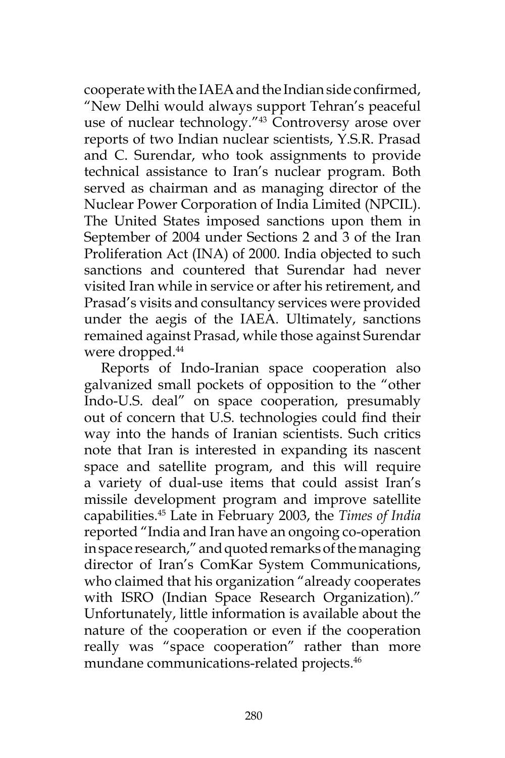cooperate with the IAEA and the Indian side confirmed, "New Delhi would always support Tehran's peaceful use of nuclear technology."<sup>43</sup> Controversy arose over reports of two Indian nuclear scientists, Y.S.R. Prasad and C. Surendar, who took assignments to provide technical assistance to Iran's nuclear program. Both served as chairman and as managing director of the Nuclear Power Corporation of India Limited (NPCIL). The United States imposed sanctions upon them in September of 2004 under Sections 2 and 3 of the Iran Proliferation Act (INA) of 2000. India objected to such sanctions and countered that Surendar had never visited Iran while in service or after his retirement, and Prasad's visits and consultancy services were provided under the aegis of the IAEA. Ultimately, sanctions remained against Prasad, while those against Surendar were dropped.<sup>44</sup>

Reports of Indo-Iranian space cooperation also galvanized small pockets of opposition to the "other Indo-U.S. deal" on space cooperation, presumably out of concern that U.S. technologies could find their way into the hands of Iranian scientists. Such critics note that Iran is interested in expanding its nascent space and satellite program, and this will require a variety of dual-use items that could assist Iran's missile development program and improve satellite capabilities.45 Late in February 2003, the *Times of India*  reported "India and Iran have an ongoing co-operation in space research," and quoted remarks of the managing director of Iran's ComKar System Communications, who claimed that his organization "already cooperates with ISRO (Indian Space Research Organization)." Unfortunately, little information is available about the nature of the cooperation or even if the cooperation really was "space cooperation" rather than more mundane communications-related projects.<sup>46</sup>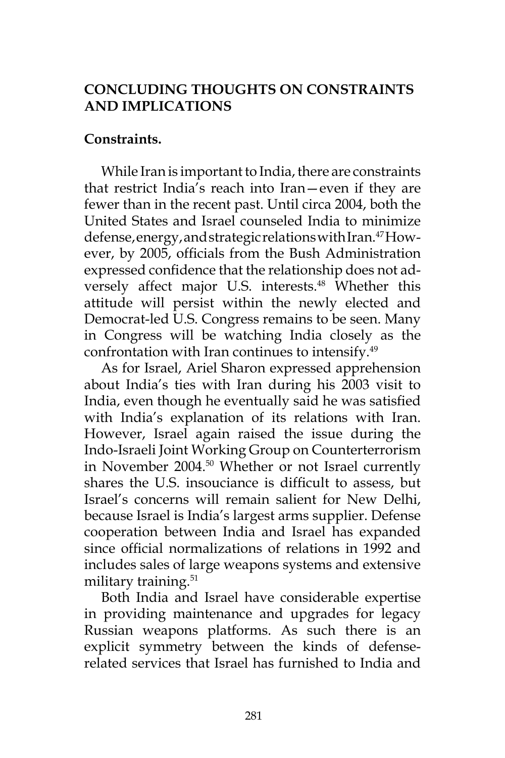# **CONCLUDING THOUGHTS ON CONSTRAINTS AND IMPLICATIONS**

## **Constraints.**

While Iran is important to India, there are constraints that restrict India's reach into Iran—even if they are fewer than in the recent past. Until circa 2004, both the United States and Israel counseled India to minimize defense, energy, and strategic relations with Iran.47 However, by 2005, officials from the Bush Administration expressed confidence that the relationship does not adversely affect major U.S. interests.<sup>48</sup> Whether this attitude will persist within the newly elected and Democrat-led U.S. Congress remains to be seen. Many in Congress will be watching India closely as the confrontation with Iran continues to intensify.<sup>49</sup>

As for Israel, Ariel Sharon expressed apprehension about India's ties with Iran during his 2003 visit to India, even though he eventually said he was satisfied with India's explanation of its relations with Iran. However, Israel again raised the issue during the Indo-Israeli Joint Working Group on Counterterrorism in November 2004.<sup>50</sup> Whether or not Israel currently shares the U.S. insouciance is difficult to assess, but Israel's concerns will remain salient for New Delhi, because Israel is India's largest arms supplier. Defense cooperation between India and Israel has expanded since official normalizations of relations in 1992 and includes sales of large weapons systems and extensive military training.<sup>51</sup>

Both India and Israel have considerable expertise in providing maintenance and upgrades for legacy Russian weapons platforms. As such there is an explicit symmetry between the kinds of defenserelated services that Israel has furnished to India and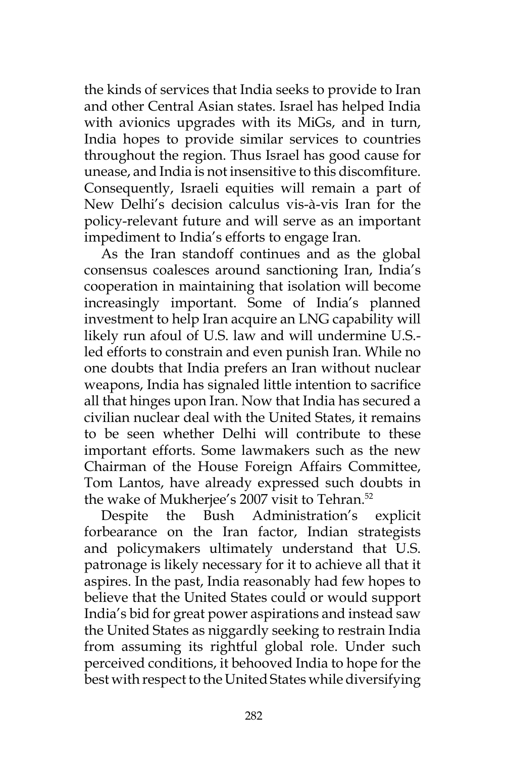the kinds of services that India seeks to provide to Iran and other Central Asian states. Israel has helped India with avionics upgrades with its MiGs, and in turn, India hopes to provide similar services to countries throughout the region. Thus Israel has good cause for unease, and India is not insensitive to this discomfiture. Consequently, Israeli equities will remain a part of New Delhi's decision calculus vis-à-vis Iran for the policy-relevant future and will serve as an important impediment to India's efforts to engage Iran.

As the Iran standoff continues and as the global consensus coalesces around sanctioning Iran, India's cooperation in maintaining that isolation will become increasingly important. Some of India's planned investment to help Iran acquire an LNG capability will likely run afoul of U.S. law and will undermine U.S. led efforts to constrain and even punish Iran. While no one doubts that India prefers an Iran without nuclear weapons, India has signaled little intention to sacrifice all that hinges upon Iran. Now that India has secured a civilian nuclear deal with the United States, it remains to be seen whether Delhi will contribute to these important efforts. Some lawmakers such as the new Chairman of the House Foreign Affairs Committee, Tom Lantos, have already expressed such doubts in the wake of Mukherjee's 2007 visit to Tehran.<sup>52</sup>

Despite the Bush Administration's explicit forbearance on the Iran factor, Indian strategists and policymakers ultimately understand that U.S. patronage is likely necessary for it to achieve all that it aspires. In the past, India reasonably had few hopes to believe that the United States could or would support India's bid for great power aspirations and instead saw the United States as niggardly seeking to restrain India from assuming its rightful global role. Under such perceived conditions, it behooved India to hope for the best with respect to the United States while diversifying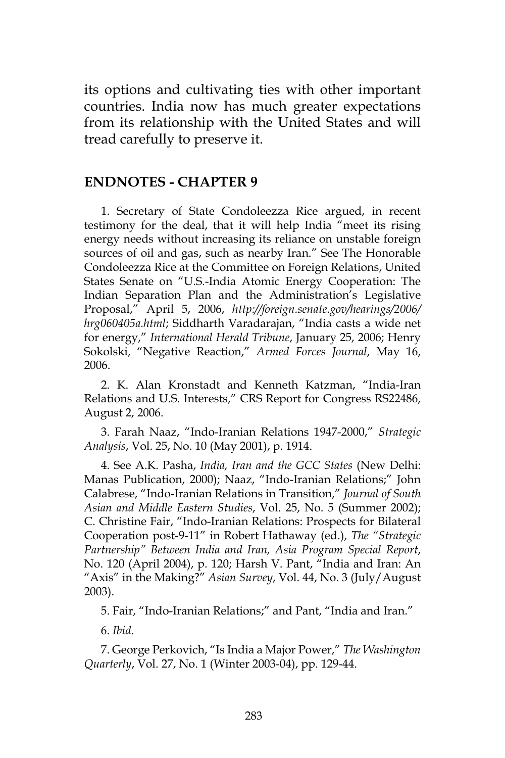its options and cultivating ties with other important countries. India now has much greater expectations from its relationship with the United States and will tread carefully to preserve it.

#### **ENDNOTES - CHAPTER 9**

1. Secretary of State Condoleezza Rice argued, in recent testimony for the deal, that it will help India "meet its rising energy needs without increasing its reliance on unstable foreign sources of oil and gas, such as nearby Iran." See The Honorable Condoleezza Rice at the Committee on Foreign Relations, United States Senate on "U.S.-India Atomic Energy Cooperation: The Indian Separation Plan and the Administration's Legislative Proposal," April 5, 2006, *http://foreign.senate.gov/hearings/2006/ hrg060405a.html*; Siddharth Varadarajan, "India casts a wide net for energy," *International Herald Tribune*, January 25, 2006; Henry Sokolski, "Negative Reaction," *Armed Forces Journal*, May 16, 2006.

2. K. Alan Kronstadt and Kenneth Katzman, "India-Iran Relations and U.S. Interests," CRS Report for Congress RS22486, August 2, 2006.

3. Farah Naaz, "Indo-Iranian Relations 1947-2000," *Strategic Analysis*, Vol. 25, No. 10 (May 2001), p. 1914.

4. See A.K. Pasha, *India, Iran and the GCC States* (New Delhi: Manas Publication, 2000); Naaz, "Indo-Iranian Relations;" John Calabrese, "Indo-Iranian Relations in Transition," *Journal of South Asian and Middle Eastern Studies*, Vol. 25, No. 5 (Summer 2002); C. Christine Fair, "Indo-Iranian Relations: Prospects for Bilateral Cooperation post-9-11" in Robert Hathaway (ed.), *The "Strategic Partnership" Between India and Iran, Asia Program Special Report*, No. 120 (April 2004), p. 120; Harsh V. Pant, "India and Iran: An "Axis" in the Making?" *Asian Survey*, Vol. 44, No. 3 (July/August 2003).

5. Fair, "Indo-Iranian Relations;" and Pant, "India and Iran."

6. *Ibid*.

7. George Perkovich, "Is India a Major Power," *The Washington Quarterly*, Vol. 27, No. 1 (Winter 2003-04), pp. 129-44.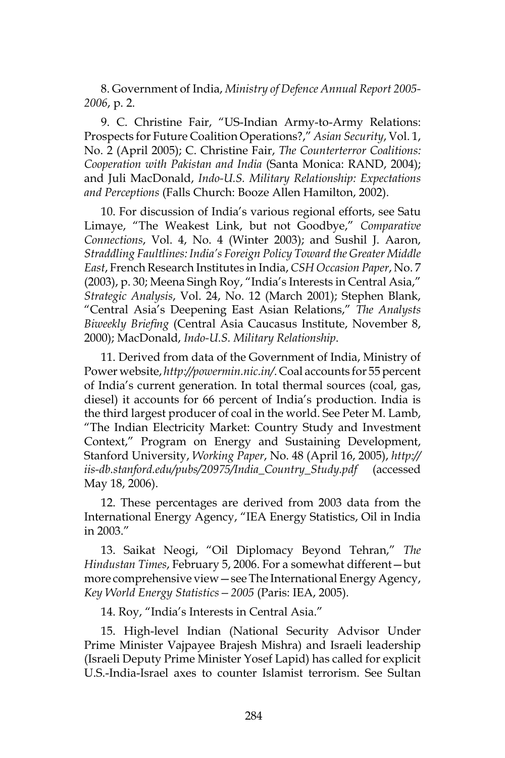8. Government of India, *Ministry of Defence Annual Report 2005- 2006*, p. 2.

9. C. Christine Fair, "US-Indian Army-to-Army Relations: Prospects for Future Coalition Operations?," *Asian Security*, Vol. 1, No. 2 (April 2005); C. Christine Fair, *The Counterterror Coalitions: Cooperation with Pakistan and India* (Santa Monica: RAND, 2004); and Juli MacDonald, *Indo-U.S. Military Relationship: Expectations and Perceptions* (Falls Church: Booze Allen Hamilton, 2002).

10. For discussion of India's various regional efforts, see Satu Limaye, "The Weakest Link, but not Goodbye," *Comparative Connections*, Vol. 4, No. 4 (Winter 2003); and Sushil J. Aaron, *Straddling Faultlines: India's Foreign Policy Toward the Greater Middle East*, French Research Institutes in India, *CSH Occasion Paper*, No. 7 (2003), p. 30; Meena Singh Roy, "India's Interests in Central Asia," *Strategic Analysis*, Vol. 24, No. 12 (March 2001); Stephen Blank, "Central Asia's Deepening East Asian Relations," *The Analysts Biweekly Briefing* (Central Asia Caucasus Institute, November 8, 2000); MacDonald, *Indo-U.S. Military Relationship*.

11. Derived from data of the Government of India, Ministry of Power website, *http://powermin.nic.in/*. Coal accounts for 55 percent of India's current generation. In total thermal sources (coal, gas, diesel) it accounts for 66 percent of India's production. India is the third largest producer of coal in the world. See Peter M. Lamb, "The Indian Electricity Market: Country Study and Investment Context," Program on Energy and Sustaining Development, Stanford University, *Working Paper*, No. 48 (April 16, 2005), *http:// iis-db.stanford.edu/pubs/20975/India\_Country\_Study.pdf* (accessed May 18, 2006).

12. These percentages are derived from 2003 data from the International Energy Agency, "IEA Energy Statistics, Oil in India in 2003."

13. Saikat Neogi, "Oil Diplomacy Beyond Tehran," *The Hindustan Times*, February 5, 2006. For a somewhat different—but more comprehensive view—see The International Energy Agency, *Key World Energy Statistics—2005* (Paris: IEA, 2005).

14. Roy, "India's Interests in Central Asia."

15. High-level Indian (National Security Advisor Under Prime Minister Vajpayee Brajesh Mishra) and Israeli leadership (Israeli Deputy Prime Minister Yosef Lapid) has called for explicit U.S.-India-Israel axes to counter Islamist terrorism. See Sultan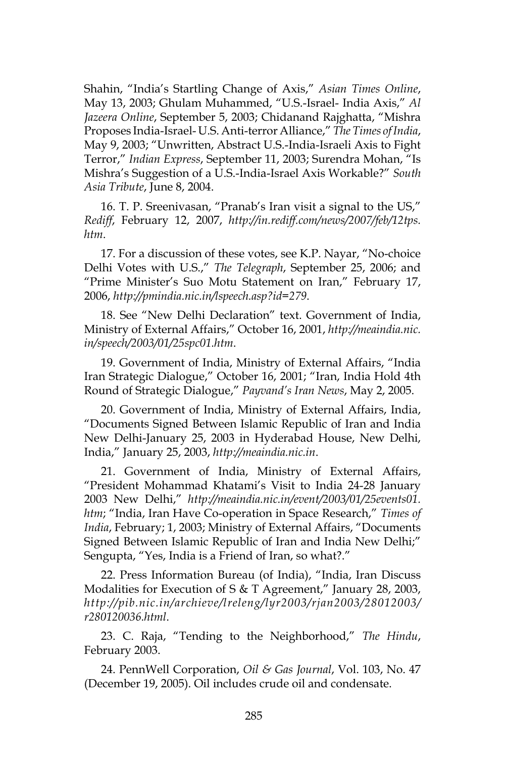Shahin, "India's Startling Change of Axis," *Asian Times Online*, May 13, 2003; Ghulam Muhammed, "U.S.-Israel- India Axis," *Al Jazeera Online*, September 5, 2003; Chidanand Rajghatta, "Mishra Proposes India-Israel- U.S. Anti-terror Alliance," *The Times of India*, May 9, 2003; "Unwritten, Abstract U.S.-India-Israeli Axis to Fight Terror," *Indian Express*, September 11, 2003; Surendra Mohan, "Is Mishra's Suggestion of a U.S.-India-Israel Axis Workable?" *South Asia Tribute*, June 8, 2004.

16. T. P. Sreenivasan, "Pranab's Iran visit a signal to the US," *Rediff*, February 12, 2007, *http://in.rediff.com/news/2007/feb/12tps. htm*.

17. For a discussion of these votes, see K.P. Nayar, "No-choice Delhi Votes with U.S.," *The Telegraph*, September 25, 2006; and "Prime Minister's Suo Motu Statement on Iran," February 17, 2006, *http://pmindia.nic.in/lspeech.asp?id=279*.

18. See "New Delhi Declaration" text. Government of India, Ministry of External Affairs," October 16, 2001, *http://meaindia.nic. in/speech/2003/01/25spc01.htm*.

19. Government of India, Ministry of External Affairs, "India Iran Strategic Dialogue," October 16, 2001; "Iran, India Hold 4th Round of Strategic Dialogue," *Payvand's Iran News*, May 2, 2005.

20. Government of India, Ministry of External Affairs, India, "Documents Signed Between Islamic Republic of Iran and India New Delhi-January 25, 2003 in Hyderabad House, New Delhi, India," January 25, 2003, *http://meaindia.nic.in*.

21. Government of India, Ministry of External Affairs, "President Mohammad Khatami's Visit to India 24-28 January 2003 New Delhi," *http://meaindia.nic.in/event/2003/01/25events01. htm*; "India, Iran Have Co-operation in Space Research," *Times of India*, February; 1, 2003; Ministry of External Affairs, "Documents Signed Between Islamic Republic of Iran and India New Delhi;" Sengupta, "Yes, India is a Friend of Iran, so what?."

22. Press Information Bureau (of India), "India, Iran Discuss Modalities for Execution of S & T Agreement," January 28, 2003, *http://pib.nic.in/archieve/lreleng/lyr2003/rjan2003/28012003/ r280120036.html*.

23. C. Raja, "Tending to the Neighborhood," *The Hindu*, February 2003.

24. PennWell Corporation, *Oil & Gas Journal*, Vol. 103, No. 47 (December 19, 2005). Oil includes crude oil and condensate.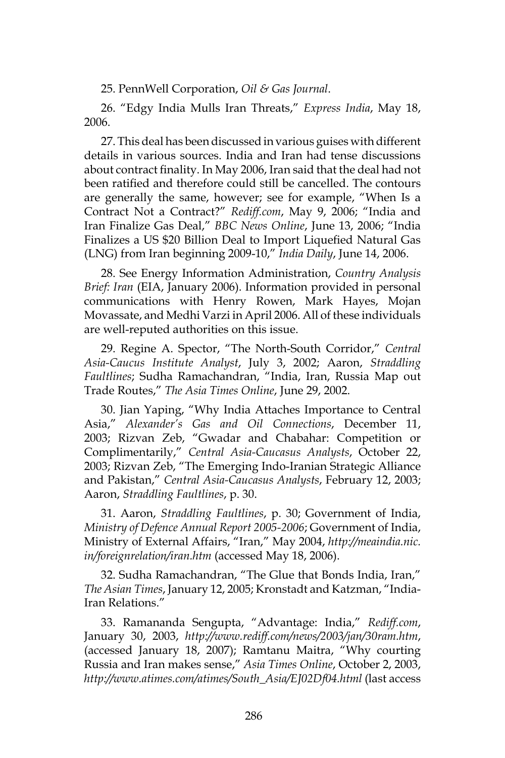25. PennWell Corporation, *Oil & Gas Journal*.

26. "Edgy India Mulls Iran Threats," *Express India*, May 18, 2006.

27. This deal has been discussed in various guises with different details in various sources. India and Iran had tense discussions about contract finality. In May 2006, Iran said that the deal had not been ratified and therefore could still be cancelled. The contours are generally the same, however; see for example, "When Is a Contract Not a Contract?" *Rediff.com*, May 9, 2006; "India and Iran Finalize Gas Deal," *BBC News Online*, June 13, 2006; "India Finalizes a US \$20 Billion Deal to Import Liquefied Natural Gas (LNG) from Iran beginning 2009-10," *India Daily*, June 14, 2006.

28. See Energy Information Administration, *Country Analysis Brief: Iran* (EIA, January 2006). Information provided in personal communications with Henry Rowen, Mark Hayes, Mojan Movassate, and Medhi Varzi in April 2006. All of these individuals are well-reputed authorities on this issue.

29. Regine A. Spector, "The North-South Corridor," *Central Asia-Caucus Institute Analyst*, July 3, 2002; Aaron, *Straddling Faultlines*; Sudha Ramachandran, "India, Iran, Russia Map out Trade Routes," *The Asia Times Online*, June 29, 2002.

30. Jian Yaping, "Why India Attaches Importance to Central Asia," *Alexander's Gas and Oil Connections*, December 11, 2003; Rizvan Zeb, "Gwadar and Chabahar: Competition or Complimentarily," *Central Asia-Caucasus Analysts*, October 22, 2003; Rizvan Zeb, "The Emerging Indo-Iranian Strategic Alliance and Pakistan," *Central Asia-Caucasus Analysts*, February 12, 2003; Aaron, *Straddling Faultlines*, p. 30.

31. Aaron, *Straddling Faultlines*, p. 30; Government of India, *Ministry of Defence Annual Report 2005-2006*; Government of India, Ministry of External Affairs, "Iran," May 2004, *http://meaindia.nic. in/foreignrelation/iran.htm* (accessed May 18, 2006).

32. Sudha Ramachandran, "The Glue that Bonds India, Iran," *The Asian Times*, January 12, 2005; Kronstadt and Katzman, "India-Iran Relations."

33. Ramananda Sengupta, "Advantage: India," *Rediff.com*, January 30, 2003, *http://www.rediff.com/news/2003/jan/30ram.htm*, (accessed January 18, 2007); Ramtanu Maitra, "Why courting Russia and Iran makes sense," *Asia Times Online*, October 2, 2003, *http://www.atimes.com/atimes/South\_Asia/EJ02Df04.html* (last access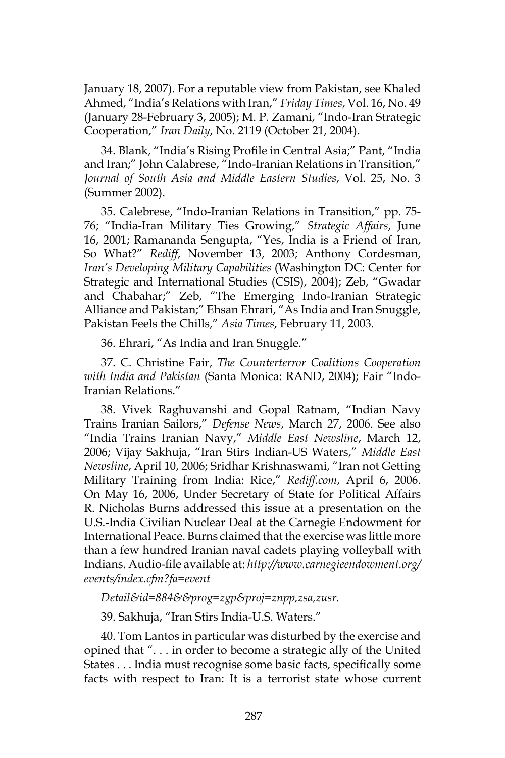January 18, 2007). For a reputable view from Pakistan, see Khaled Ahmed, "India's Relations with Iran," *Friday Times*, Vol. 16, No. 49 (January 28-February 3, 2005); M. P. Zamani, "Indo-Iran Strategic Cooperation," *Iran Daily*, No. 2119 (October 21, 2004).

34. Blank, "India's Rising Profile in Central Asia;" Pant, "India and Iran;" John Calabrese, "Indo-Iranian Relations in Transition," *Journal of South Asia and Middle Eastern Studies*, Vol. 25, No. 3 (Summer 2002).

35. Calebrese, "Indo-Iranian Relations in Transition," pp. 75- 76; "India-Iran Military Ties Growing," *Strategic Affairs*, June 16, 2001; Ramananda Sengupta, "Yes, India is a Friend of Iran, So What?" *Rediff*, November 13, 2003; Anthony Cordesman, *Iran's Developing Military Capabilities* (Washington DC: Center for Strategic and International Studies (CSIS), 2004); Zeb, "Gwadar and Chabahar;" Zeb, "The Emerging Indo-Iranian Strategic Alliance and Pakistan;" Ehsan Ehrari, "As India and Iran Snuggle, Pakistan Feels the Chills," *Asia Times*, February 11, 2003.

36. Ehrari, "As India and Iran Snuggle."

37. C. Christine Fair, *The Counterterror Coalitions Cooperation with India and Pakistan* (Santa Monica: RAND, 2004); Fair "Indo-Iranian Relations."

38. Vivek Raghuvanshi and Gopal Ratnam, "Indian Navy Trains Iranian Sailors," *Defense News*, March 27, 2006. See also "India Trains Iranian Navy," *Middle East Newsline*, March 12, 2006; Vijay Sakhuja, "Iran Stirs Indian-US Waters," *Middle East Newsline*, April 10, 2006; Sridhar Krishnaswami, "Iran not Getting Military Training from India: Rice," *Rediff.com*, April 6, 2006. On May 16, 2006, Under Secretary of State for Political Affairs R. Nicholas Burns addressed this issue at a presentation on the U.S.-India Civilian Nuclear Deal at the Carnegie Endowment for International Peace. Burns claimed that the exercise was little more than a few hundred Iranian naval cadets playing volleyball with Indians. Audio-file available at: *http://www.carnegieendowment.org/ events/index.cfm?fa=event*

*Detail&id=884&&prog=zgp&proj=znpp,zsa,zusr.*

39. Sakhuja, "Iran Stirs India-U.S. Waters."

40. Tom Lantos in particular was disturbed by the exercise and opined that ". . . in order to become a strategic ally of the United States . . . India must recognise some basic facts, specifically some facts with respect to Iran: It is a terrorist state whose current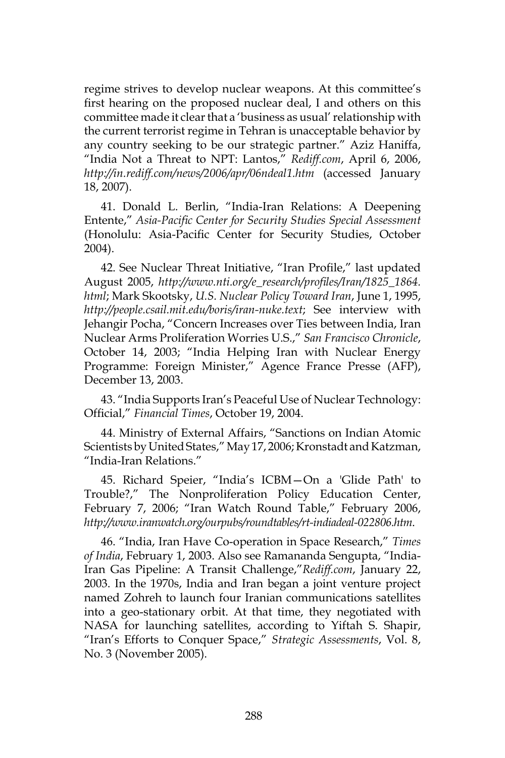regime strives to develop nuclear weapons. At this committee's first hearing on the proposed nuclear deal, I and others on this committee made it clear that a 'business as usual' relationship with the current terrorist regime in Tehran is unacceptable behavior by any country seeking to be our strategic partner." Aziz Haniffa, "India Not a Threat to NPT: Lantos," *Rediff.com*, April 6, 2006, *http://in.rediff.com/news/2006/apr/06ndeal1.htm* (accessed January 18, 2007).

41. Donald L. Berlin, "India-Iran Relations: A Deepening Entente," *Asia-Pacific Center for Security Studies Special Assessment* (Honolulu: Asia-Pacific Center for Security Studies, October 2004).

42. See Nuclear Threat Initiative, "Iran Profile," last updated August 2005, *http://www.nti.org/e\_research/profiles/Iran/1825\_1864. html*; Mark Skootsky, *U.S. Nuclear Policy Toward Iran*, June 1, 1995, *http://people.csail.mit.edu/boris/iran-nuke.text*; See interview with Jehangir Pocha, "Concern Increases over Ties between India, Iran Nuclear Arms Proliferation Worries U.S.," *San Francisco Chronicle*, October 14, 2003; "India Helping Iran with Nuclear Energy Programme: Foreign Minister," Agence France Presse (AFP), December 13, 2003.

43. "India Supports Iran's Peaceful Use of Nuclear Technology: Official," *Financial Times*, October 19, 2004.

44. Ministry of External Affairs, "Sanctions on Indian Atomic Scientists by United States," May 17, 2006; Kronstadt and Katzman, "India-Iran Relations."

45. Richard Speier, "India's ICBM—On a 'Glide Path' to Trouble?," The Nonproliferation Policy Education Center, February 7, 2006; "Iran Watch Round Table," February 2006, *http://www.iranwatch.org/ourpubs/roundtables/rt-indiadeal-022806.htm*.

46. "India, Iran Have Co-operation in Space Research," *Times of India*, February 1, 2003. Also see Ramananda Sengupta, "India-Iran Gas Pipeline: A Transit Challenge,"*Rediff.com*, January 22, 2003. In the 1970s, India and Iran began a joint venture project named Zohreh to launch four Iranian communications satellites into a geo-stationary orbit. At that time, they negotiated with NASA for launching satellites, according to Yiftah S. Shapir, "Iran's Efforts to Conquer Space," *Strategic Assessments*, Vol. 8, No. 3 (November 2005).